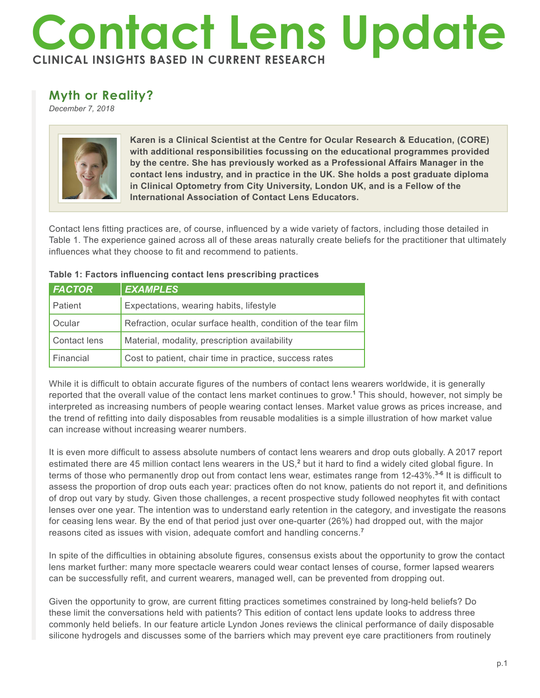## **Contact Lens Update CLINICAL INSIGHTS BASED IN CURRENT RESEARCH**

## **Myth or Reality?**

*December 7, 2018*



**Karen is a Clinical Scientist at the Centre for Ocular Research & Education, (CORE) with additional responsibilities focussing on the educational programmes provided by the centre. She has previously worked as a Professional Affairs Manager in the contact lens industry, and in practice in the UK. She holds a post graduate diploma in Clinical Optometry from City University, London UK, and is a Fellow of the International Association of Contact Lens Educators.**

Contact lens fitting practices are, of course, influenced by a wide variety of factors, including those detailed in Table 1. The experience gained across all of these areas naturally create beliefs for the practitioner that ultimately influences what they choose to fit and recommend to patients.

| <b>FACTOR</b> | <b>EXAMPLES</b>                                               |
|---------------|---------------------------------------------------------------|
| Patient       | Expectations, wearing habits, lifestyle                       |
| Ocular        | Refraction, ocular surface health, condition of the tear film |
| Contact lens  | Material, modality, prescription availability                 |
| Financial     | Cost to patient, chair time in practice, success rates        |

## **Table 1: Factors influencing contact lens prescribing practices**

While it is difficult to obtain accurate figures of the numbers of contact lens wearers worldwide, it is generally reported that the overall value of the contact lens market continues to grow.**<sup>1</sup>** This should, however, not simply be interpreted as increasing numbers of people wearing contact lenses. Market value grows as prices increase, and the trend of refitting into daily disposables from reusable modalities is a simple illustration of how market value can increase without increasing wearer numbers.

It is even more difficult to assess absolute numbers of contact lens wearers and drop outs globally. A 2017 report estimated there are 45 million contact lens wearers in the US,<sup>2</sup> but it hard to find a widely cited global figure. In terms of those who permanently drop out from contact lens wear, estimates range from 12-43%.**3-6** It is difficult to assess the proportion of drop outs each year: practices often do not know, patients do not report it, and definitions of drop out vary by study. Given those challenges, a recent prospective study followed neophytes fit with contact lenses over one year. The intention was to understand early retention in the category, and investigate the reasons for ceasing lens wear. By the end of that period just over one-quarter (26%) had dropped out, with the major reasons cited as issues with vision, adequate comfort and handling concerns.**<sup>7</sup>**

In spite of the difficulties in obtaining absolute figures, consensus exists about the opportunity to grow the contact lens market further: many more spectacle wearers could wear contact lenses of course, former lapsed wearers can be successfully refit, and current wearers, managed well, can be prevented from dropping out.

Given the opportunity to grow, are current fitting practices sometimes constrained by long-held beliefs? Do these limit the conversations held with patients? This edition of contact lens update looks to address three commonly held beliefs. In our feature article Lyndon Jones reviews the clinical performance of daily disposable silicone hydrogels and discusses some of the barriers which may prevent eye care practitioners from routinely